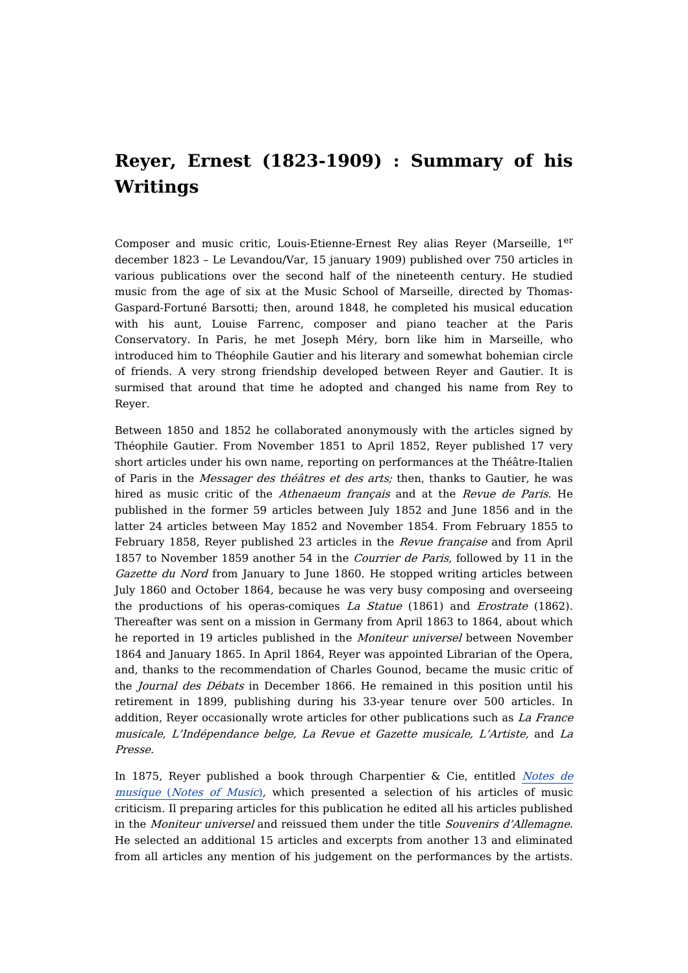## **Reyer, Ernest (1823-1909) : Summary of his Writings**

Composer and music critic, Louis-Etienne-Ernest Rey alias Reyer (Marseille, 1<sup>er</sup> december 1823 – Le Levandou/Var, 15 january 1909) published over 750 articles in various publications over the second half of the nineteenth century. He studied music from the age of six at the Music School of Marseille, directed by Thomas-Gaspard-Fortuné Barsotti; then, around 1848, he completed his musical education with his aunt, Louise Farrenc, composer and piano teacher at the Paris Conservatory. In Paris, he met Joseph Méry, born like him in Marseille, who introduced him to Théophile Gautier and his literary and somewhat bohemian circle of friends. A very strong friendship developed between Reyer and Gautier. It is surmised that around that time he adopted and changed his name from Rey to Reyer.

Between 1850 and 1852 he collaborated anonymously with the articles signed by Théophile Gautier. From November 1851 to April 1852, Reyer published 17 very short articles under his own name, reporting on performances at the Théâtre-Italien of Paris in the Messager des théâtres et des arts; then, thanks to Gautier, he was hired as music critic of the Athenaeum français and at the Revue de Paris. He published in the former 59 articles between July 1852 and June 1856 and in the latter 24 articles between May 1852 and November 1854. From February 1855 to February 1858, Reyer published 23 articles in the Revue française and from April 1857 to November 1859 another 54 in the Courrier de Paris, followed by 11 in the Gazette du Nord from January to June 1860. He stopped writing articles between July 1860 and October 1864, because he was very busy composing and overseeing the productions of his operas-comiques La Statue (1861) and Erostrate (1862). Thereafter was sent on a mission in Germany from April 1863 to 1864, about which he reported in 19 articles published in the Moniteur universel between November 1864 and January 1865. In April 1864, Reyer was appointed Librarian of the Opera, and, thanks to the recommendation of Charles Gounod, became the music critic of the Journal des Débats in December 1866. He remained in this position until his retirement in 1899, publishing during his 33-year tenure over 500 articles. In addition, Reyer occasionally wrote articles for other publications such as La France musicale, L'Indépendance belge, La Revue et Gazette musicale, L'Artiste, and La Presse.

In 1875, Reyer published a book through [Charpentier](https://dicteco.huma-num.fr/fr/book/45519) & Cie, entitled Notes de musique (Notes of Music), which presented a selection of his articles of music criticism. Il preparing articles for this publication he edited all his articles published in the Moniteur universel and reissued them under the title Souvenirs d'Allemagne. He selected an additional 15 articles and excerpts from another 13 and eliminated from all articles any mention of his judgement on the performances by the artists.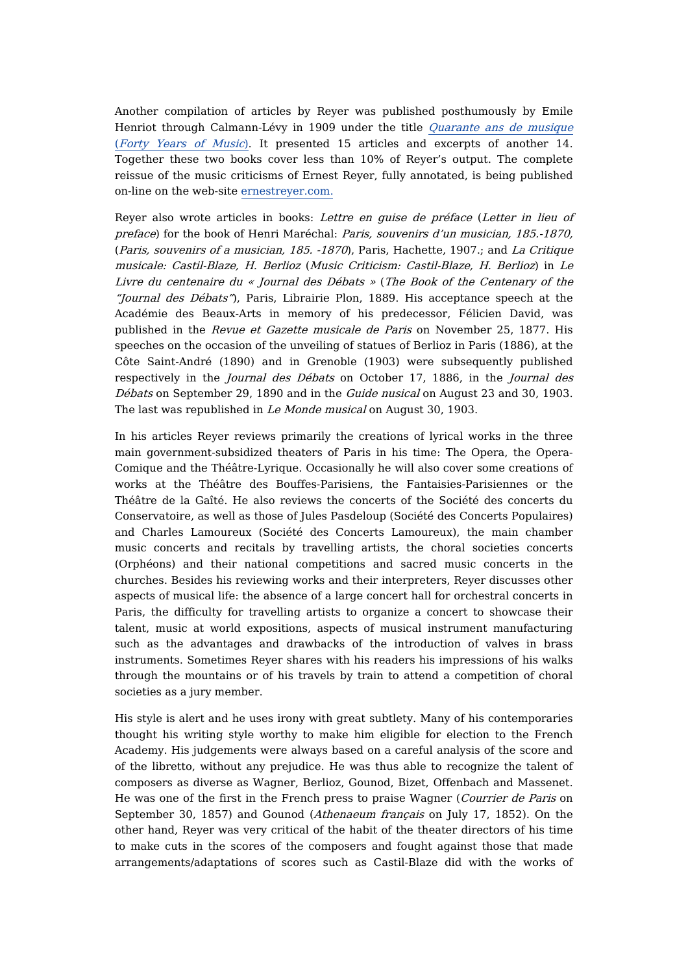Another compilation of articles by Reyer was published posthumously by Emile Henriot through [Calmann-Lévy](https://dicteco.huma-num.fr/fr/anthology/45525) in 1909 under the title Quarante ans de musique (Forty Years of Music). It presented 15 articles and excerpts of another 14. Together these two books cover less than 10% of Reyer's output. The complete reissue of the music criticisms of Ernest Reyer, fully annotated, is being published on-line on the web-site [ernestreyer.com.](http://ernestreyer.com/)

Reyer also wrote articles in books: Lettre en guise de préface (Letter in lieu of preface) for the book of Henri Maréchal: Paris, souvenirs d'un musician, 185.-1870, (Paris, souvenirs of <sup>a</sup> musician, 185. -1870), Paris, Hachette, 1907.; and La Critique musicale: Castil-Blaze, H. Berlioz (Music Criticism: Castil-Blaze, H. Berlioz) in Le Livre du centenaire du « Journal des Débats » (The Book of the Centenary of the "Journal des Débats"), Paris, Librairie Plon, 1889. His acceptance speech at the Académie des Beaux-Arts in memory of his predecessor, Félicien David, was published in the Revue et Gazette musicale de Paris on November 25, 1877. His speeches on the occasion of the unveiling of statues of Berlioz in Paris (1886), at the Côte Saint-André (1890) and in Grenoble (1903) were subsequently published respectively in the *Journal des Débats* on October 17, 1886, in the *Journal des* Débats on September 29, 1890 and in the Guide nusical on August 23 and 30, 1903. The last was republished in Le Monde musical on August 30, 1903.

In his articles Reyer reviews primarily the creations of lyrical works in the three main government-subsidized theaters of Paris in his time: The Opera, the Opera-Comique and the Théâtre-Lyrique. Occasionally he will also cover some creations of works at the Théâtre des Bouffes-Parisiens, the Fantaisies-Parisiennes or the Théâtre de la Gaîté. He also reviews the concerts of the Société des concerts du Conservatoire, as well as those of Jules Pasdeloup (Société des Concerts Populaires) and Charles Lamoureux (Société des Concerts Lamoureux), the main chamber music concerts and recitals by travelling artists, the choral societies concerts (Orphéons) and their national competitions and sacred music concerts in the churches. Besides his reviewing works and their interpreters, Reyer discusses other aspects of musical life: the absence of a large concert hall for orchestral concerts in Paris, the difficulty for travelling artists to organize a concert to showcase their talent, music at world expositions, aspects of musical instrument manufacturing such as the advantages and drawbacks of the introduction of valves in brass instruments. Sometimes Reyer shares with his readers his impressions of his walks through the mountains or of his travels by train to attend a competition of choral societies as a jury member.

His style is alert and he uses irony with great subtlety. Many of his contemporaries thought his writing style worthy to make him eligible for election to the French Academy. His judgements were always based on a careful analysis of the score and of the libretto, without any prejudice. He was thus able to recognize the talent of composers as diverse as Wagner, Berlioz, Gounod, Bizet, Offenbach and Massenet. He was one of the first in the French press to praise Wagner (Courrier de Paris on September 30, 1857) and Gounod (Athenaeum français on July 17, 1852). On the other hand, Reyer was very critical of the habit of the theater directors of his time to make cuts in the scores of the composers and fought against those that made arrangements/adaptations of scores such as Castil-Blaze did with the works of